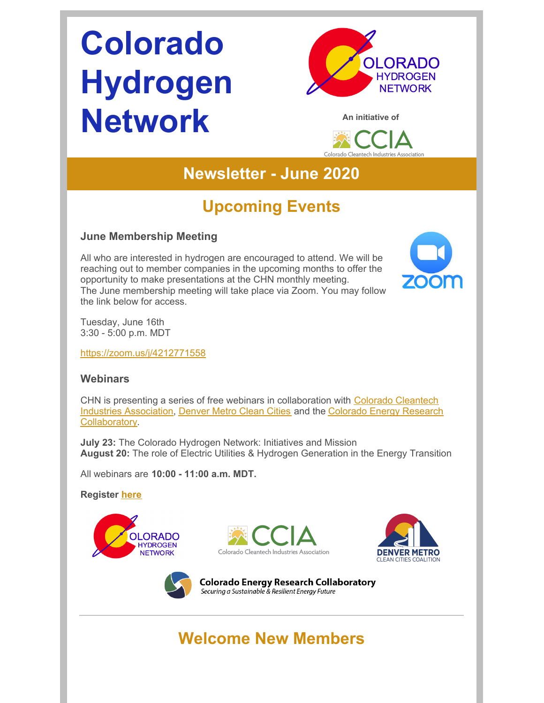# **Colorado Hydrogen Network**





### **Newsletter - June 2020**

# **Upcoming Events**

#### **June Membership Meeting**

All who are interested in hydrogen are encouraged to attend. We will be reaching out to member companies in the upcoming months to offer the opportunity to make presentations at the CHN monthly meeting. The June membership meeting will take place via Zoom. You may follow the link below for access.



Tuesday, June 16th 3:30 - 5:00 p.m. MDT

<https://zoom.us/j/4212771558>

#### **Webinars**

CHN is presenting a series of free webinars in [collaboration](https://coloradocleantech.com/) with Colorado Cleantech Industries Association, [Denver](https://denvermetrocleancities.org/) Metro Clean Cities and the Colorado Energy Research [Collaboratory.](https://www.coloradocollaboratory.org/)

**July 23:** The Colorado Hydrogen Network: Initiatives and Mission **August 20:** The role of Electric Utilities & Hydrogen Generation in the Energy Transition

All webinars are **10:00 - 11:00 a.m. MDT.**

**Register [here](https://cercsymposium.org/collaboratory-hosted-webinars-2020-2021/)**









**Colorado Energy Research Collaboratory** Securing a Sustainable & Resilient Energy Future

# **Welcome New Members**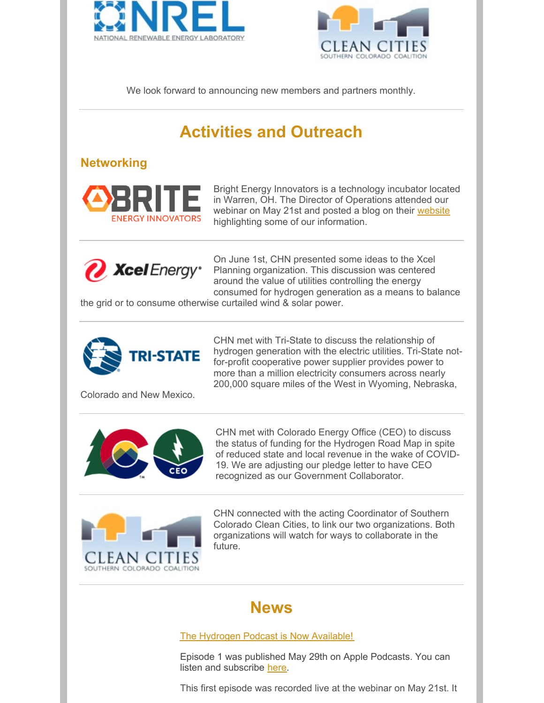



We look forward to announcing new members and partners monthly.

# **Activities and Outreach**

#### **Networking**



Bright Energy Innovators is a technology incubator located in Warren, OH. The Director of Operations attended our webinar on May 21st and posted a blog on their [website](https://brite.org/what-powers-an-electric-vehicle/) highlighting some of our information.



On June 1st, CHN presented some ideas to the Xcel Planning organization. This discussion was centered around the value of utilities controlling the energy consumed for hydrogen generation as a means to balance

the grid or to consume otherwise curtailed wind & solar power.



CHN met with Tri-State to discuss the relationship of hydrogen generation with the electric utilities. Tri-State notfor-profit cooperative power supplier provides power to more than a million electricity consumers across nearly 200,000 square miles of the West in Wyoming, Nebraska,

Colorado and New Mexico.



CHN met with Colorado Energy Office (CEO) to discuss the status of funding for the Hydrogen Road Map in spite of reduced state and local revenue in the wake of COVID-19. We are adjusting our pledge letter to have CEO recognized as our Government Collaborator.



CHN connected with the acting Coordinator of Southern Colorado Clean Cities, to link our two organizations. Both organizations will watch for ways to collaborate in the future.

#### **News**

#### The Hydrogen Podcast is Now Available!

Episode 1 was published May 29th on Apple Podcasts. You can listen and subscribe [here](https://podcasts.apple.com/us/podcast/hydrogennowcast/id1515826648).

This first episode was recorded live at the webinar on May 21st. It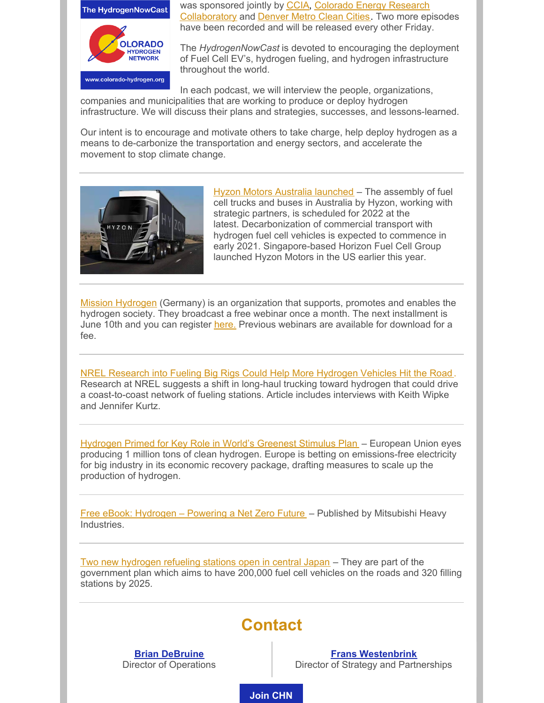

was sponsored jointly by [CCIA](https://coloradocleantech.com/), Colorado Energy Research [Collaboratory](https://www.coloradocollaboratory.org/) and **[Denver](https://denvermetrocleancities.org/) Metro Clean Cities**. Two more episodes have been recorded and will be released every other Friday.

The *HydrogenNowCast* is devoted to encouraging the deployment of Fuel Cell EV's, hydrogen fueling, and hydrogen infrastructure throughout the world.

In each podcast, we will interview the people, organizations,

companies and municipalities that are working to produce or deploy hydrogen infrastructure. We will discuss their plans and strategies, successes, and lessons-learned.

Our intent is to encourage and motivate others to take charge, help deploy hydrogen as a means to de-carbonize the transportation and energy sectors, and accelerate the movement to stop climate change.



Hyzon Motors Australia [launched](https://www.h2-view.com/story/hyzon-motors-australia-launched/) – The assembly of fuel cell trucks and buses in Australia by Hyzon, working with strategic partners, is scheduled for 2022 at the latest. Decarbonization of commercial transport with hydrogen fuel cell vehicles is expected to commence in early 2021. Singapore-based Horizon Fuel Cell Group launched Hyzon Motors in the US earlier this year.

Mission [Hydrogen](https://mission-hydrogen.de/en/mission-hydrogen-en/) (Germany) is an organization that supports, promotes and enables the hydrogen society. They broadcast a free webinar once a month. The next installment is June 10th and you can [r](https://event.webinarjam.com/register/33/542ygh3p)egister [here](https://event.webinarjam.com/register/33/542ygh3p). Previous webinars are available for download for a fee.

NREL Research into Fueling Big Rigs Could Help More [Hydrogen](https://www.nrel.gov/news/features/2020/nrel-research-fueling-big-rigs-help-hydrogen-vehicles-hit-road.html) Vehicles Hit the Road . Research at NREL suggests a shift in long-haul trucking toward hydrogen that could drive a coast-to-coast network of fueling stations. Article includes interviews with Keith Wipke and Jennifer Kurtz.

[Hydrogen](https://www-bloomberg-com.cdn.ampproject.org/c/s/www.bloomberg.com/amp/news/articles/2020-05-26/hydrogen-primed-for-key-role-in-world-s-greenest-stimulus-plan) Primed for Key Role in World's Greenest Stimulus Plan – European Union eyes producing 1 million tons of clean hydrogen. Europe is betting on emissions-free electricity for big industry in its economic recovery package, drafting measures to scale up the production of hydrogen.

Free eBook: [Hydrogen](https://oilandgas.mhi.com/stories/hydrogen-powering-a-net-zero-future/) – Powering a Net Zero Future – Published by Mitsubishi Heavy Industries.

Two new [hydrogen](http://www.ngvjournal.com/s1-news/c4-stations/two-new-hydrogen-refueling-stations-open-in-central-japan/) refueling stations open in central Japan – They are part of the government plan which aims to have 200,000 fuel cell vehicles on the roads and 320 filling stations by 2025.

### **Contact**

**Brian [DeBruine](mailto:brian.debruine@gmail.com)** Director of Operations

**Frans [Westenbrink](mailto:franswestenbrink5@gmail.com)** Director of Strategy and Partnerships

**[Join](https://www.colorado-hydrogen.org/join) CHN**